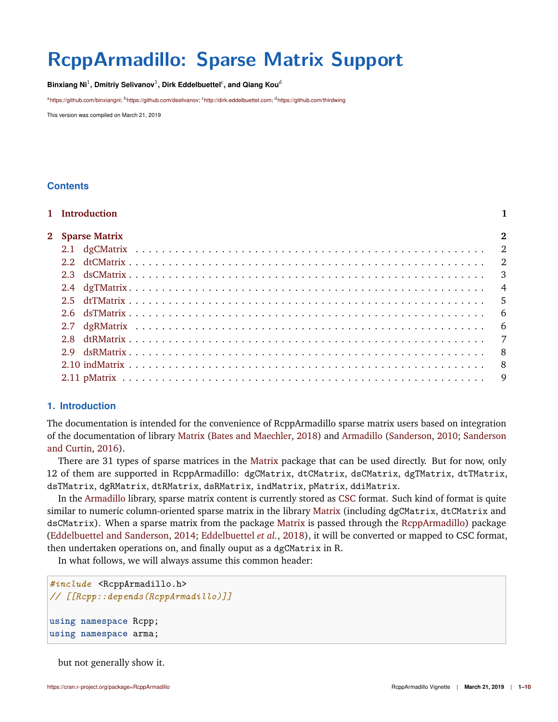# **RcppArmadillo: Sparse Matrix Support**

 $\mathsf{Binxiang\ Ni^1},$   $\mathsf{Dmitriy\ Selivanov^1},$   $\mathsf{Dirk\ Eddelbuettel^c},$  and  $\mathsf{Qiang\ Kou^d}$ 

<sup>a</sup>[https://github.com/binxiangni;](https://github.com/binxiangni) <sup>b</sup>[https://github.com/dselivanov;](https://github.com/dselivanov) <sup>c</sup>[http://dirk.eddelbuettel.com;](http://dirk.eddelbuettel.com) <sup>d</sup><https://github.com/thirdwing>

This version was compiled on March 21, 2019

# **Contents**

| 1 Introduction  |                |
|-----------------|----------------|
| 2 Sparse Matrix | $\overline{2}$ |
|                 |                |
|                 |                |
|                 |                |
|                 |                |
|                 |                |
|                 |                |
|                 |                |
|                 |                |
|                 |                |
|                 |                |
|                 |                |
|                 |                |

# <span id="page-0-0"></span>**1. Introduction**

The documentation is intended for the convenience of RcppArmadillo sparse matrix users based on integration of the documentation of library [Matrix](https://cran.r-project.org/web/packages/Matrix/Matrix.pdf) [\(Bates and Maechler,](#page-9-0) [2018\)](#page-9-0) and [Armadillo](http://arma.sourceforge.net/docs.html#SpMat) [\(Sanderson,](#page-9-1) [2010;](#page-9-1) [Sanderson](#page-9-2) [and Curtin,](#page-9-2) [2016\)](#page-9-2).

There are 31 types of sparse matrices in the [Matrix](https://cran.r-project.org/package=Matrix) package that can be used directly. But for now, only 12 of them are supported in RcppArmadillo: dgCMatrix, dtCMatrix, dsCMatrix, dgTMatrix, dtTMatrix, dsTMatrix, dgRMatrix, dtRMatrix, dsRMatrix, indMatrix, pMatrix, ddiMatrix.

In the [Armadillo](http://arma.sourceforge.net/docs.html#SpMat) library, sparse matrix content is currently stored as [CSC](https://en.wikipedia.org/wiki/Sparse_matrix#Compressed_sparse_column_.28CSC_or_CCS.29) format. Such kind of format is quite similar to numeric column-oriented sparse matrix in the library [Matrix](https://cran.r-project.org/package=Matrix) (including dgCMatrix, dtCMatrix and dsCMatrix). When a sparse matrix from the package [Matrix](https://cran.r-project.org/package=Matrix) is passed through the [RcppArmadillo\)](https://cran.r-project.org/package=RcppArmadillo) package [\(Eddelbuettel and Sanderson,](#page-9-3) [2014;](#page-9-3) [Eddelbuettel](#page-9-4) *et al.*, [2018\)](#page-9-4), it will be converted or mapped to CSC format, then undertaken operations on, and finally ouput as a dgCMatrix in R.

In what follows, we will always assume this common header:

```
#include <RcppArmadillo.h>
// [[Rcpp::depends(RcppArmadillo)]]
using namespace Rcpp;
using namespace arma;
```
<span id="page-0-1"></span>but not generally show it.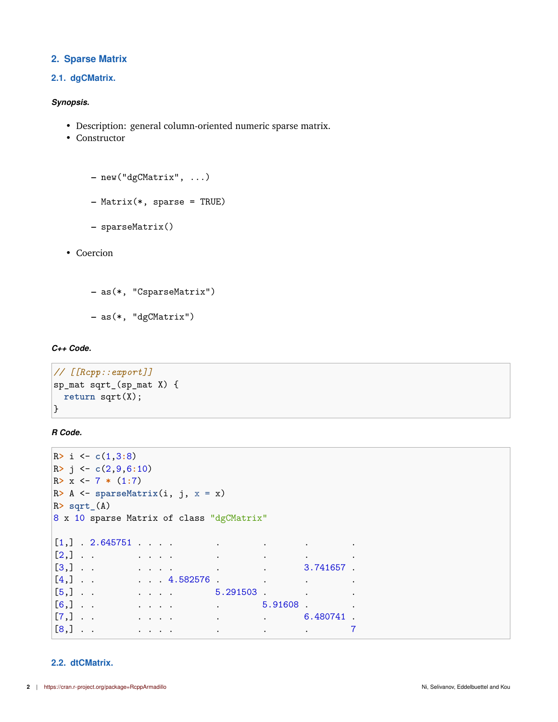## **2. Sparse Matrix**

## <span id="page-1-0"></span>**2.1. dgCMatrix.**

### *Synopsis.*

- Description: general column-oriented numeric sparse matrix.
- Constructor

```
– new("dgCMatrix", ...)
```
**–** Matrix(\*, sparse = TRUE)

```
– sparseMatrix()
```
• Coercion

```
– as(*, "CsparseMatrix")
```
**–** as(\*, "dgCMatrix")

#### *C++ Code.*

```
// [[Rcpp::export]]
sp_mat sqrt_(sp_mat X) {
return sqrt(X);
}
```
*R Code.*

```
R> i <- c(1,3:8)
R> j <- c(2,9,6:10)
R> x <- 7 * (1:7)
R> A <- sparseMatrix(i, j, x = x)
R> sqrt_(A)
8 x 10 sparse Matrix of class "dgCMatrix"
[1,] . 2.645751 . . . . . . . .
[2,] . . . . . . . . . .
[3,] . . . . . . . . . . . . . . 3.741657 .
[4,] . . . . . 4.582576 . . . .
[5,] . . . . . . 5.291503 . . .
[6,] . . . . . . . . . . . . . 5.91608 .
[7,] . . . . . . . . . . . . . . . 6.480741 .
[8,] . . . . . . . . . 7
```
## <span id="page-1-1"></span>**2.2. dtCMatrix.**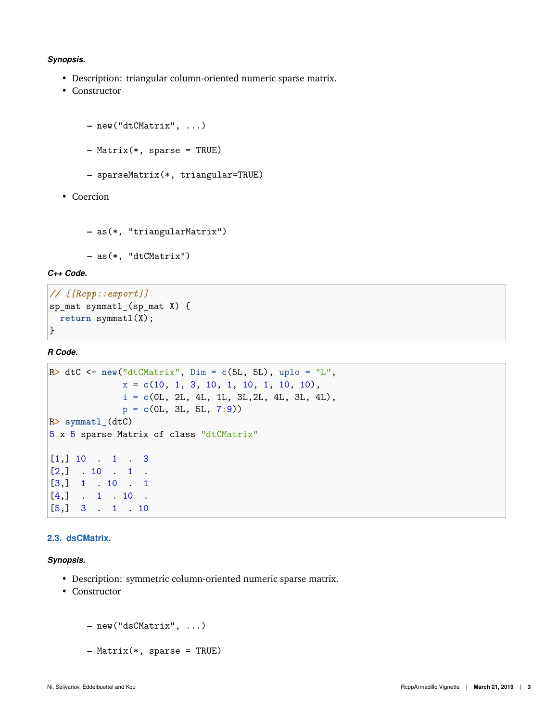#### *Synopsis.*

- Description: triangular column-oriented numeric sparse matrix.
- Constructor

```
– new("dtCMatrix", ...)
– Matrix(*, sparse = TRUE)
– sparseMatrix(*, triangular=TRUE)
```
• Coercion

```
– as(*, "triangularMatrix")
```

```
– as(*, "dtCMatrix")
```
*C++ Code.*

```
// [[Rcpp::export]]
sp_mat symmatl_(sp_mat X) {
 return symmatl(X);
}
```
*R Code.*

```
R> dtC <- new("dtCMatrix", Dim = c(5L, 5L), uplo = "L",
             x = c(10, 1, 3, 10, 1, 10, 1, 10, 10),
             i = c(0L, 2L, 4L, 1L, 3L,2L, 4L, 3L, 4L),
             p = c(0L, 3L, 5L, 7:9))
R> symmatl_(dtC)
5 x 5 sparse Matrix of class "dtCMatrix"
[1,] 10 . 1 . 3
[2,] . 10 . 1 .
[3,] 1 . 10 . 1
[4,] . 1 . 10 .
[5,] 3 . 1 . 10
```
## <span id="page-2-0"></span>**2.3. dsCMatrix.**

*Synopsis.*

- Description: symmetric column-oriented numeric sparse matrix.
- Constructor

```
– new("dsCMatrix", ...)
```
**–** Matrix(\*, sparse = TRUE)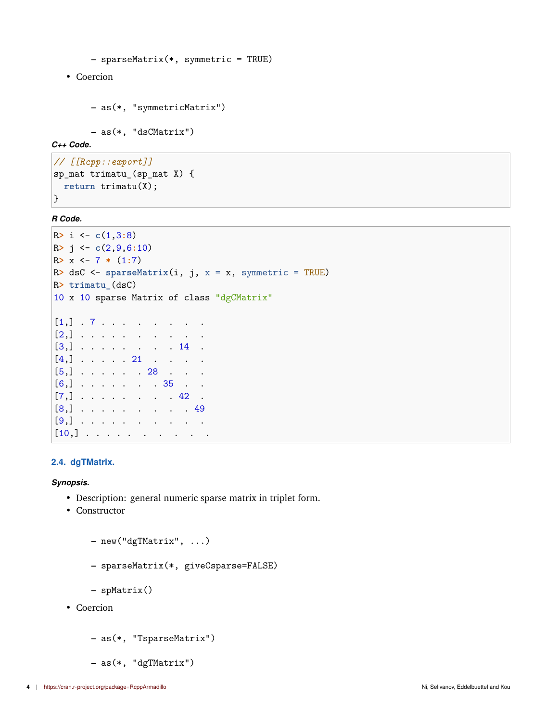```
– sparseMatrix(*, symmetric = TRUE)
```
• Coercion

```
– as(*, "symmetricMatrix")
```
**–** as(\*, "dsCMatrix")

*C++ Code.*

```
// [[Rcpp::export]]
sp_mat trimatu_(sp_mat X) {
  return trimatu(X);
\mathcal{F}
```
*R Code.*

```
R> i <- c(1,3:8)
R> j <- c(2,9,6:10)
R> x <- 7 * (1:7)
R> dsC <- sparseMatrix(i, j, x = x, symmetric = TRUE)
R> trimatu_(dsC)
10 x 10 sparse Matrix of class "dgCMatrix"
[1,] . 7 . . . . . . . .
[2,] . . . . . . . . . .
[3,] . . . . . . . 14 .
[4,] . . . . 21 . . . .
[5,] . . . . . 28 . . .
[6,] . . . . . . 35 . .
[7,] . . . . . . . 42 .
[8,] . . . . . . . . 49
[9,] . . . . . . . . . .
[10,] . . . . . . . . . .
```
## <span id="page-3-0"></span>**2.4. dgTMatrix.**

*Synopsis.*

- Description: general numeric sparse matrix in triplet form.
- Constructor
	- **–** new("dgTMatrix", ...)
	- **–** sparseMatrix(\*, giveCsparse=FALSE)

**–** spMatrix()

- Coercion
	- **–** as(\*, "TsparseMatrix")
	- **–** as(\*, "dgTMatrix")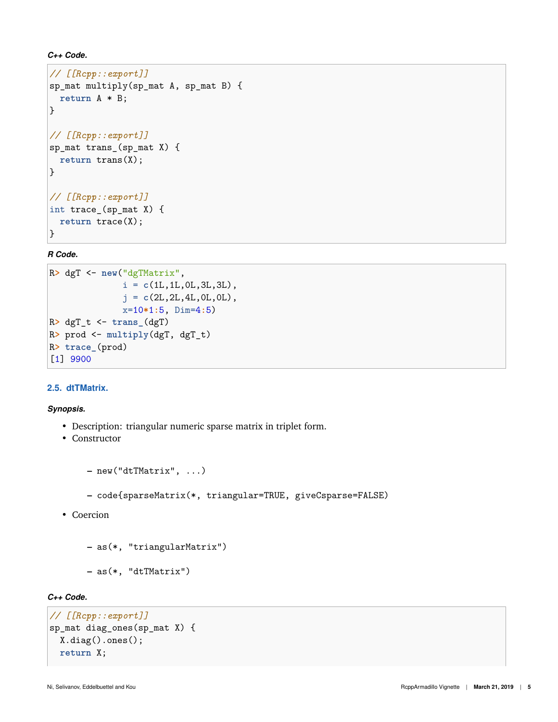```
C++ Code.
```

```
// [[Rcpp::export]]
sp_mat multiply(sp_mat A, sp_mat B) {
 return A * B;
}
// [[Rcpp::export]]
sp_mat trans_(sp_mat X) {
 return trans(X);
}
// [[Rcpp::export]]
int trace_(sp_mat X) {
 return trace(X);
}
```
*R Code.*

```
R> dgT <- new("dgTMatrix",
              i = c(1L,1L,0L,3L,3L),
              j = c(2L,2L,4L,0L,0L),
              x=10*1:5, Dim=4:5)
R> dgT_t <- trans_(dgT)
R> prod <- multiply(dgT, dgT_t)
R> trace_(prod)
[1] 9900
```
## <span id="page-4-0"></span>**2.5. dtTMatrix.**

*Synopsis.*

- Description: triangular numeric sparse matrix in triplet form.
- Constructor

```
– new("dtTMatrix", ...)
```
- **–** code{sparseMatrix(\*, triangular=TRUE, giveCsparse=FALSE)
- Coercion
	- **–** as(\*, "triangularMatrix")
	- **–** as(\*, "dtTMatrix")

# *C++ Code.*

```
// [[Rcpp::export]]
sp_mat diag_ones(sp_mat X) {
  X.diag().ones();
  return X;
```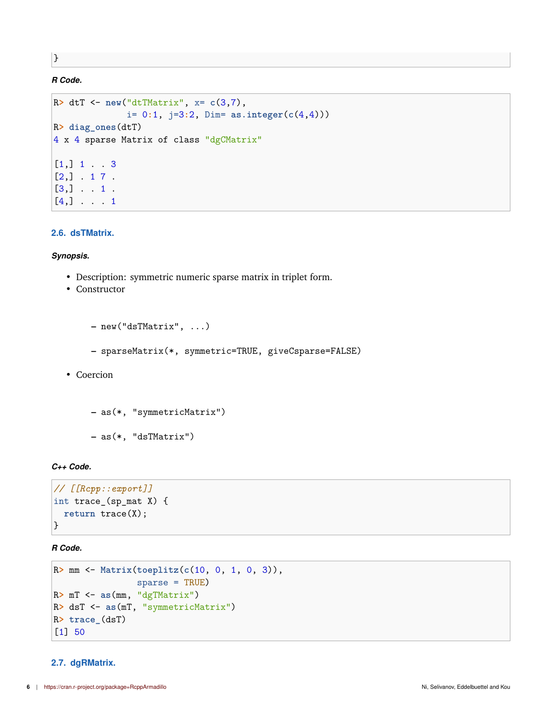}

# *R Code.*

```
R> dtT <- new("dtTMatrix", x= c(3,7),
              i= 0:1, j=3:2, Dim= as.integer(c(4,4)))
R> diag_ones(dtT)
4 x 4 sparse Matrix of class "dgCMatrix"
[1,] 1 . . 3[2,] . 1 7 .
[3,] \ldots 1.
[4,] . . . 1
```
### <span id="page-5-0"></span>**2.6. dsTMatrix.**

#### *Synopsis.*

- Description: symmetric numeric sparse matrix in triplet form.
- Constructor

```
– new("dsTMatrix", ...)
     – sparseMatrix(*, symmetric=TRUE, giveCsparse=FALSE)
• Coercion
```

```
– as(*, "symmetricMatrix")
– as(*, "dsTMatrix")
```
## *C++ Code.*

```
// [[Rcpp::export]]
int trace_(sp_mat X) {
  return trace(X);
\vert
```
*R Code.*

```
R> mm <- Matrix(toeplitz(c(10, 0, 1, 0, 3)),
                sparse = TRUE)
R> mT <- as(mm, "dgTMatrix")
R> dsT <- as(mT, "symmetricMatrix")
R> trace_(dsT)
[1] 50
```
#### <span id="page-5-1"></span>**2.7. dgRMatrix.**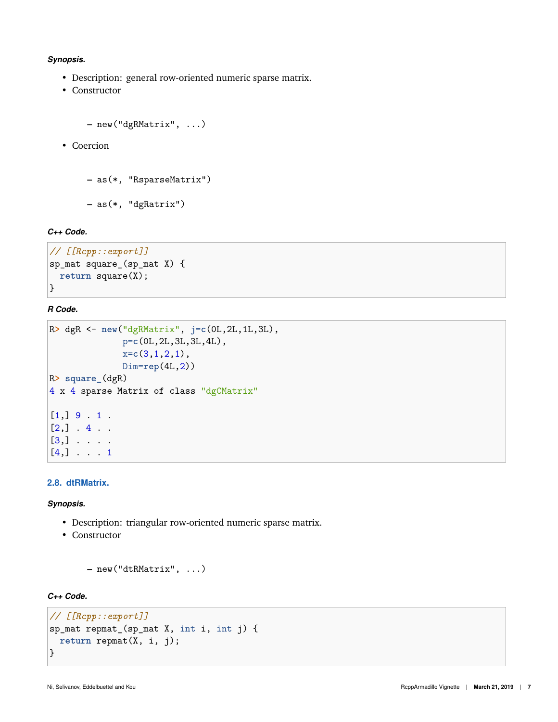#### *Synopsis.*

- Description: general row-oriented numeric sparse matrix.
- Constructor

```
– new("dgRMatrix", ...)
```
• Coercion

```
– as(*, "RsparseMatrix")
```
**–** as(\*, "dgRatrix")

## *C++ Code.*

```
// [[Rcpp::export]]
sp_mat square_(sp_mat X) {
  return square(X);
}
```
## *R Code.*

```
R> dgR <- new("dgRMatrix", j=c(0L,2L,1L,3L),
              p=c(0L,2L,3L,3L,4L),
              x=c(3,1,2,1),
              Dim=rep(4L,2))
R> square_(dgR)
4 x 4 sparse Matrix of class "dgCMatrix"
[1,] 9 . 1 .[2,] . 4 . .
[3,] . . . .
[4,] . . . 1
```
## <span id="page-6-0"></span>**2.8. dtRMatrix.**

*Synopsis.*

- Description: triangular row-oriented numeric sparse matrix.
- Constructor

```
– new("dtRMatrix", ...)
```
## *C++ Code.*

```
// [[Rcpp::export]]
sp_mat repmat_(sp_mat X, int i, int j) {
  return repmat(X, i, j);
}
```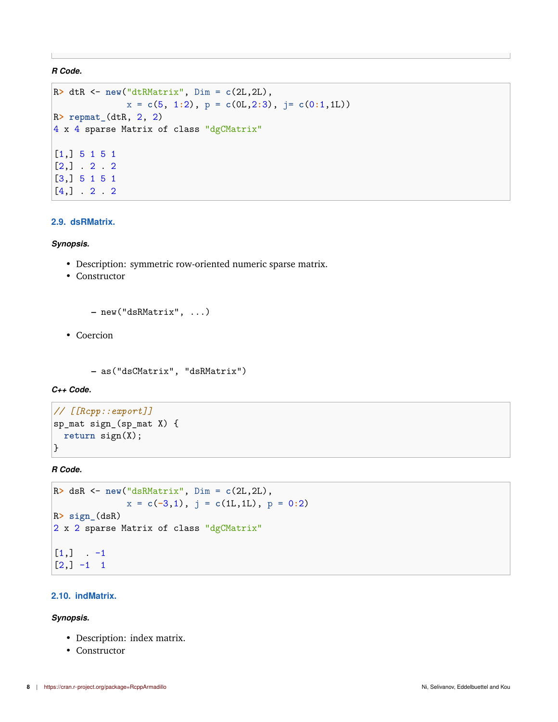*R Code.*

```
R> dtR <- new("dtRMatrix", Dim = c(2L,2L),
              x = c(5, 1:2), p = c(0L, 2:3), j = c(0:1, 1L)R> repmat_(dtR, 2, 2)
4 x 4 sparse Matrix of class "dgCMatrix"
[1,] 5 1 5 1
[2,] . 2 . 2
[3,] 5 1 5 1
[4,] . 2 . 2
```
#### <span id="page-7-0"></span>**2.9. dsRMatrix.**

*Synopsis.*

- Description: symmetric row-oriented numeric sparse matrix.
- Constructor
	- **–** new("dsRMatrix", ...)
- Coercion

```
– as("dsCMatrix", "dsRMatrix")
```
*C++ Code.*

```
// [[Rcpp::export]]
sp_mat sign_(sp_mat X) {
  return sign(X);
\mathcal{F}
```
*R Code.*

```
R> dsR <- new("dsRMatrix", Dim = c(2L,2L),
             x = c(-3,1), j = c(1L,1L), p = 0:2R> sign_(dsR)
2 x 2 sparse Matrix of class "dgCMatrix"
[1,] . -1[2, ] -1 1
```
#### <span id="page-7-1"></span>**2.10. indMatrix.**

*Synopsis.*

- Description: index matrix.
- Constructor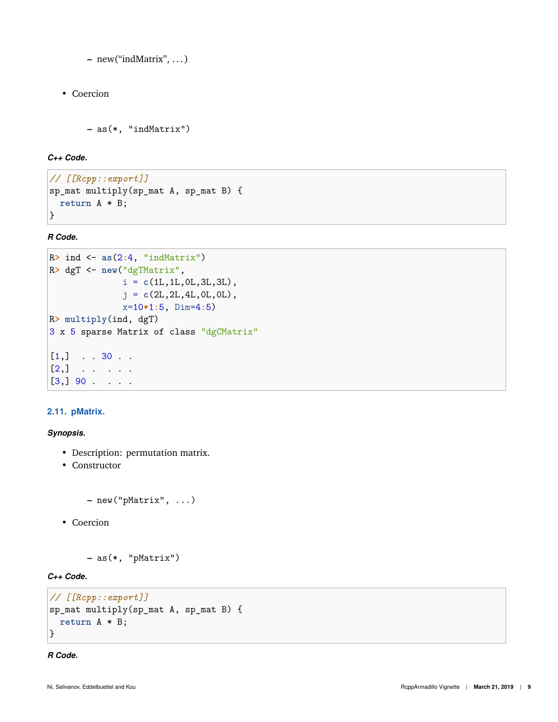**–** new("indMatrix", . . . )

• Coercion

```
– as(*, "indMatrix")
```
*C++ Code.*

```
// [[Rcpp::export]]
sp_mat multiply(sp_mat A, sp_mat B) {
 return A * B;
}
```
*R Code.*

```
R> ind <- as(2:4, "indMatrix")
R> dgT <- new("dgTMatrix",
              i = c(1L,1L,0L,3L,3L),
              j = c(2L,2L,4L,0L,0L),
              x=10*1:5, Dim=4:5)
R> multiply(ind, dgT)
3 x 5 sparse Matrix of class "dgCMatrix"
[1,] \ldots 30 ..
[2,] . . . . .
[3,] 90 . . . .
```
## <span id="page-8-0"></span>**2.11. pMatrix.**

*Synopsis.*

- Description: permutation matrix.
- Constructor

```
– new("pMatrix", ...)
```
• Coercion

```
– as(*, "pMatrix")
```
*C++ Code.*

```
// [[Rcpp::export]]
sp_mat multiply(sp_mat A, sp_mat B) {
  return A * B;
}
```
*R Code.*